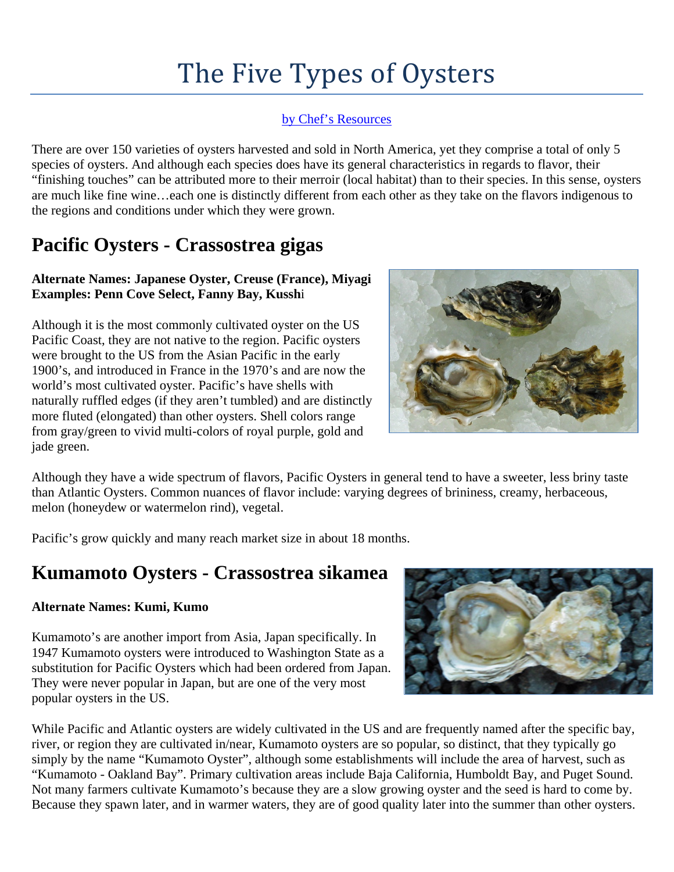# The Five Types of Oysters

### [by Chef's Resources](http://www.chefs-resources.com/Types-of-Oysters-The-5-Oyster-Species)

There are over 150 varieties of oysters harvested and sold in North America, yet they comprise a total of only 5 species of oysters. And although each species does have its general characteristics in regards to flavor, their "finishing touches" can be attributed more to their merroir (local habitat) than to their species. In this sense, oysters are much like fine wine…each one is distinctly different from each other as they take on the flavors indigenous to the regions and conditions under which they were grown.

## **Pacific Oysters - Crassostrea gigas**

### **Alternate Names: Japanese Oyster, Creuse (France), Miyagi Examples: Penn Cove Select, Fanny Bay, Kussh**i

Although it is the most commonly cultivated oyster on the US Pacific Coast, they are not native to the region. Pacific oysters were brought to the US from the Asian Pacific in the early 1900's, and introduced in France in the 1970's and are now the world's most cultivated oyster. Pacific's have shells with naturally ruffled edges (if they aren't tumbled) and are distinctly more fluted (elongated) than other oysters. Shell colors range from gray/green to vivid multi-colors of royal purple, gold and jade green.



Although they have a wide spectrum of flavors, Pacific Oysters in general tend to have a sweeter, less briny taste than Atlantic Oysters. Common nuances of flavor include: varying degrees of brininess, creamy, herbaceous, melon (honeydew or watermelon rind), vegetal.

Pacific's grow quickly and many reach market size in about 18 months.

### **Kumamoto Oysters - Crassostrea sikamea**

#### **Alternate Names: Kumi, Kumo**

Kumamoto's are another import from Asia, Japan specifically. In 1947 Kumamoto oysters were introduced to Washington State as a substitution for Pacific Oysters which had been ordered from Japan. They were never popular in Japan, but are one of the very most popular oysters in the US.



While Pacific and Atlantic oysters are widely cultivated in the US and are frequently named after the specific bay, river, or region they are cultivated in/near, Kumamoto oysters are so popular, so distinct, that they typically go simply by the name "Kumamoto Oyster", although some establishments will include the area of harvest, such as "Kumamoto - Oakland Bay". Primary cultivation areas include Baja California, Humboldt Bay, and Puget Sound. Not many farmers cultivate Kumamoto's because they are a slow growing oyster and the seed is hard to come by. Because they spawn later, and in warmer waters, they are of good quality later into the summer than other oysters.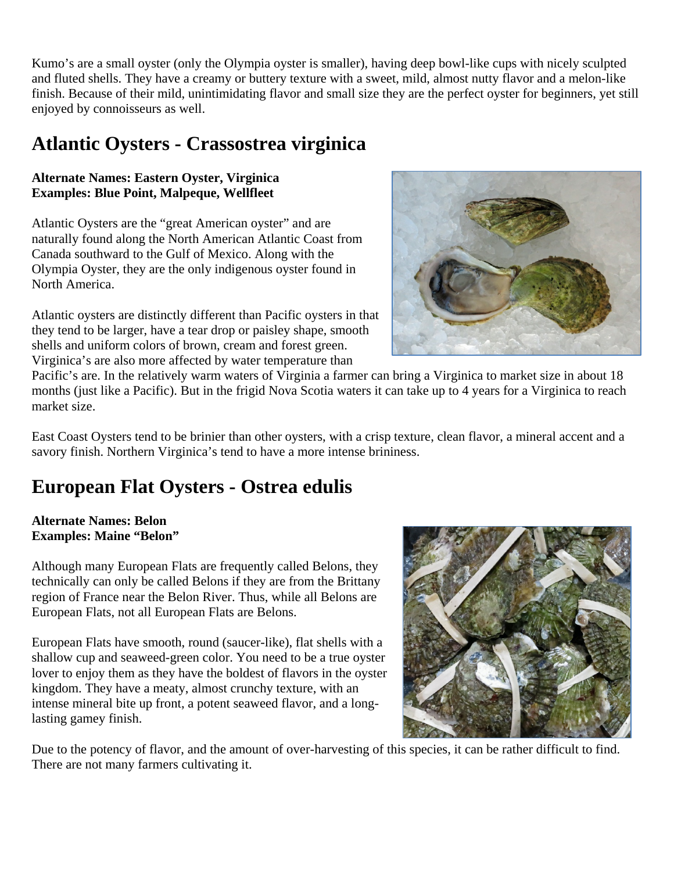Kumo's are a small oyster (only the Olympia oyster is smaller), having deep bowl-like cups with nicely sculpted and fluted shells. They have a creamy or buttery texture with a sweet, mild, almost nutty flavor and a melon-like finish. Because of their mild, unintimidating flavor and small size they are the perfect oyster for beginners, yet still enjoyed by connoisseurs as well.

### **Atlantic Oysters - Crassostrea virginica**

#### **Alternate Names: Eastern Oyster, Virginica Examples: Blue Point, Malpeque, Wellfleet**

Atlantic Oysters are the "great American oyster" and are naturally found along the North American Atlantic Coast from Canada southward to the Gulf of Mexico. Along with the Olympia Oyster, they are the only indigenous oyster found in North America.

Atlantic oysters are distinctly different than Pacific oysters in that they tend to be larger, have a tear drop or paisley shape, smooth shells and uniform colors of brown, cream and forest green. Virginica's are also more affected by water temperature than



Pacific's are. In the relatively warm waters of Virginia a farmer can bring a Virginica to market size in about 18 months (just like a Pacific). But in the frigid Nova Scotia waters it can take up to 4 years for a Virginica to reach market size.

East Coast Oysters tend to be brinier than other oysters, with a crisp texture, clean flavor, a mineral accent and a savory finish. Northern Virginica's tend to have a more intense brininess.

### **European Flat Oysters - Ostrea edulis**

#### **Alternate Names: Belon Examples: Maine "Belon"**

Although many European Flats are frequently called Belons, they technically can only be called Belons if they are from the Brittany region of France near the Belon River. Thus, while all Belons are European Flats, not all European Flats are Belons.

European Flats have smooth, round (saucer-like), flat shells with a shallow cup and seaweed-green color. You need to be a true oyster lover to enjoy them as they have the boldest of flavors in the oyster kingdom. They have a meaty, almost crunchy texture, with an intense mineral bite up front, a potent seaweed flavor, and a longlasting gamey finish.



Due to the potency of flavor, and the amount of over-harvesting of this species, it can be rather difficult to find. There are not many farmers cultivating it.